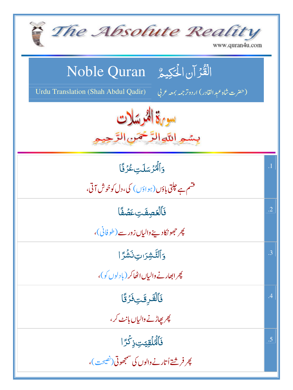| The Absolute Reality<br>www.quran4u.com                                                                                        |            |
|--------------------------------------------------------------------------------------------------------------------------------|------------|
| الْقُرْآنِ الْمَكِيمُ Noble Quran<br>Urdu Translation (Shah Abdul Qadir)<br>(حضرت شاه عبد القادر) اردوتر <i>جمه بمعه ع</i> ربي |            |
| سورة الخرسلات<br>بسمه اللهالزَّخْمَنِ الرَّحِ                                                                                  |            |
| وَٱلۡكُرۡسَلَتِ عُزۡفًا<br>قشم ہے حیلتی باؤں (ہوا <sub>ؤ</sub> ں ) کی،دل کوخوش آتی،                                            | $\cdot$ 1  |
| فَٱلۡعَصِفَتِ عَصۡفًا<br>پھر حجھو نکاد سنے والیاں زور سے ( طوفانی )،                                                           | $\cdot$ .2 |
| وَٱلتَّشِرَıتِ نَشْرًا<br>چرابھارنے والیاں اٹھاکر (بادلوں کو)،                                                                 | .3         |
| فَٱلْقَرِقَتِفَرُقًا<br>پھر پھاڑنے والیاں بانٹ کر ،                                                                            | .4         |
| ڣؘٱۿؙڶۊؚؾؾؚڔ۬ڬؙڗٙٳ<br>پھر فر شتے اُتار نے والوں کی سمجھوتی <i>(نفیحت</i> )،                                                    | .5         |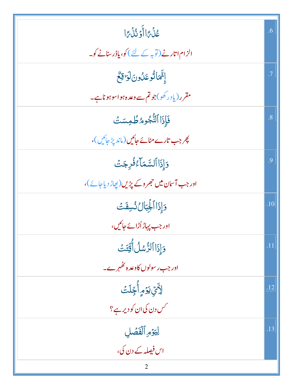| عُذْبِمَاأَوْ ذُذْبِمَا                        | .6             |
|------------------------------------------------|----------------|
| الزام اتارنے (توبہ کے لئے ) کو، پاڈر سنانے کو۔ |                |
| إِتَّمَاتُوعَلُونَ لَوَاقِعٌ                   | $\cdot$ 7      |
| مقرر (یادر کھو)جوتم سے وعدہ ہواسوہوناہے۔       |                |
| فَإِذَا ٱلنُّجُومُ طُمِسَتَ                    | $\overline{8}$ |
| چر جب تارے مٹائے جائیں (ماند پڑ جائیں )،       |                |
| وَإِذَا ٱلسَّمَاءُ فُرِجَتَ                    | .9             |
| اور جب آسان میں جھروکے پڑیں(پھاڑ دیاجائے)،     |                |
| دَإِذَا ٱلْجِبَالُ نُسِفَتَ                    | .10            |
| اور جب پہاڑ اُڑائے جائیں،                      |                |
| وَإِذَا ٱلرُّسُلُ أَقِّتَتْ                    | .11            |
| اور جب ر سولوں کاوعد ہ ٹھُہر ہے۔               |                |
| ٳٲؾؚۜؾٷڡؚۣٲ۠ڿؚڶٮٙٛ                             | .12            |
| <sup>س</sup> س دن کی ان کو دیر ہے ؟            |                |
| لِيَوْمِ ٱلْفَصَٰلِ                            | .13            |
| اس فیصلہ کے دن کی،                             |                |
|                                                |                |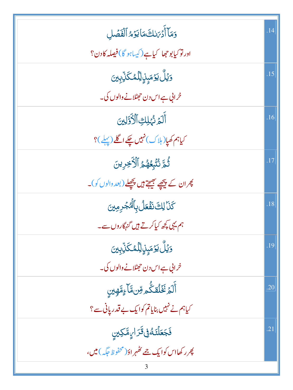| وَمَآ أَدۡ مَالِكَ مَا يَوۡ مُ ٱلۡفَصَٰلِ                             | .14 |
|-----------------------------------------------------------------------|-----|
| اور توکیا بوجھا کیاہے(کیباہو گا)فیصلہ کادن؟                           |     |
| <u>وَيۡلُّ يَوۡ</u> مَبِنِۙالِّلۡمُكَٰٓلِّبِينَ                       | .15 |
| خرانی ہے اس دن حجھٹلانے والوں کی۔                                     |     |
| أَلَمَ نُهْلِكِ ٱلْأَوَّلِينَ                                         | .16 |
| کیاہم کھیا(ہلاک)نہیں چکے اگلے (پہلے)؟                                 |     |
| ثُمَّ نُنَّبِعُهُمُ ٱلْأَخِرِينَ                                      | .17 |
| پھران کے پیچھے جھ <b>یتے ہیں پچھلے (بعد د</b> الوں کو)۔               |     |
| <b>كَنَا لِكَ نَفْعَلُ بِٱلْمُجْرِمِينَ</b>                           | .18 |
| ہم یہی کچھ کیا کرتے ہیں گنہگاروں سے۔                                  |     |
| <u>وَيۡلُّ يَوۡ</u> مَبِنِۙالِّلۡمُكَنِّبِينَ                         | .19 |
| خرانی ہے اس دن حجٹلانے والوں کی۔                                      |     |
| ؚ<br>ٲۘڶٙؽ <sup>ٙ</sup> ٮؘ۫ڂؙڷڦػ۠ۜؗ۠۠ <sub>ڡ</sub> ۊۜۜڽ؋ۜٵۧۦٟۄٞۜۿٟؾڹۣ | .20 |
| کیاہم نے نہیں بنایاتم کوایک بے قدر پانی ہے؟                           |     |
| <b>فَجَعَلۡتَـٰٓ فِیۡ قَرَا <sub>کِل</sub>مَکِینِ</b>                 | .21 |
| پھر رکھااس کوایک جے <i>کھہر</i> اؤ(محفوظ جگہ) <b>می</b> ں،            |     |
| 3                                                                     |     |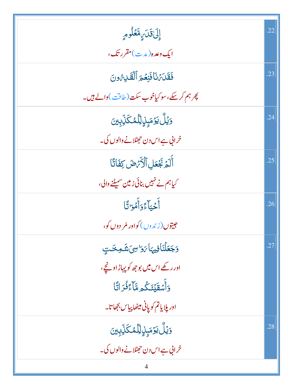| إِلَىٰقَلَىٰ مِتَعَلُومٍ                            | .22 |
|-----------------------------------------------------|-----|
| ایک <i>دعد</i> ه(م <i>د</i> یه)مقررتک،              |     |
| فَقَلَتَهُنَا فَنِعْمَ ٱلْقَلِيَّ وَنَ              | .23 |
| پھرہم کرسکے،سو کیاخوب سکت (طاقت)والے ہیں۔           |     |
| <u>وَيۡلَّ يَوۡ</u> مَبِنِۙالِّلۡمُكَنِّبِينَ       | .24 |
| خرانی ہے اس دن حجھٹلانے والوں کی۔                   |     |
| أَلَمَ بَجْعَلِ ٱلْأَرْضَ كِفَاتًا                  | .25 |
| کیاہم نے نہیں بنائی زمین سمیٹنے والی،               |     |
| أَحْيَاءًوَأَمُوَاتًا                               | .26 |
| جيتوں(زندوں) کواور مُر دوں کو،                      |     |
| وَجَعَلْنَافِيهَا مَوَاسِيَ شَوجَت                  | .27 |
| اور رکھے اس میں بو جھ کو پہاڑ اونچے،                |     |
| <u>و</u> َأَسْقَيْنَكُمِ مَّآءً فُرَاتًا            |     |
| اور پلاياتم کوپانی میٹھا بياس بجھاتا۔               |     |
| <u>وَيۡلُّ يَوۡ</u> مَ <sub>ڹ</sub> ٟڹِٳڵڷڡۢػڵؚؖڹؚؾ | .28 |
| خرابی ہے اس دن حجھٹلانے والوں کی۔                   |     |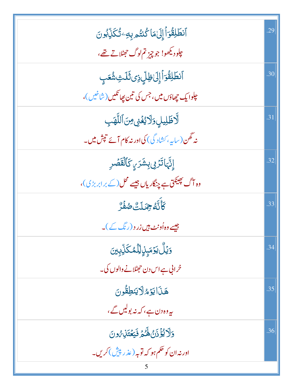| ٱنطَلِقُوٓٲٳ۪ڸؘ؏ٵػٛڹؾ۠ۄۑؚڡؚۦؾ۠ػؘڷؚۨڹۘ۠ۅڽؘ                   | .29 |
|-------------------------------------------------------------|-----|
| چلودیکھو! جو چیز تم لوگ جھٹلاتے تھے،                        |     |
| ٱنطَلِقُوٓاۡۚ إِلَىٰ ظِلِّ ذِى ثَلَتِ شُعَبٍ                | .30 |
| <mark>ع</mark> لوا یک چھاؤں میں، جس کی تین پھانکیں (شاخیں)، |     |
| لَّاظَٰلِيلٍ وَلَايُغۡنِى مِنَ ٱللَّهَبِ                    | .31 |
| نہ گھن(ساپہ، کشاد گی) کی اور نہ کام آئے تپش میں۔            |     |
| إِنَّهَاتَرُوْ بِشَرَيِ كَٱلْقَصَْرِ                        | .32 |
| وہ آگ پھینکق ہے چنگاریاں جیسے محل (کے برابربڑی)،            |     |
| ؘػ <sup>ؖ</sup> ڷۜڐ <i>۠</i> ڿڡؘڶؾ۠ڞڡ۬ٞڒ۠                   | .33 |
| جیسے وہ اُونٹ ہیں زر د (رنگ کے )۔                           |     |
| <u>وَيۡلُّ يَوۡ</u> مَ <sub>ۡ</sub> ٟڹؚٳڵڷڡ۠ڬڵؚؚۨۨۨۨۨۨۨڹؾ   | .34 |
| خرانی ہے اس دن حجٹلانے والوں کی۔                            |     |
| هَذَايَوْ الرَّيْطِقُونَ                                    | .35 |
| ىيەدەدن ہے، كەنە بوليں گے،                                  |     |
| وَلَا يُؤْذَنُ هَكْمَ فَيَعْتَلِ مُونَ                      | .36 |
| اور نہ ان کو حکم ہو کہ توبہ ( عذر پیش ) کریں۔               |     |
|                                                             |     |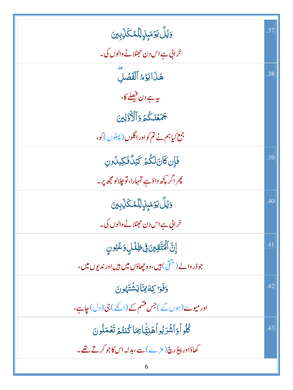| <u>وَيُلُّ يَوۡ</u> مَبِنِۙالِّلۡمُكَنِّبِينَ                                   | .37 |
|---------------------------------------------------------------------------------|-----|
| خرابی ہے اس دن حجھٹلانے والوں کی۔                                               |     |
| هَذَايَوْ الْفَصَلَ                                                             | .38 |
| ىيە ہے دن فیصلے كا،                                                             |     |
| جَمَعْنَكُمْ وَٱلْأَوَّلِينَ                                                    |     |
| جمع کیاہم نے تم کواور اگلوں (پہلوں )کو،                                         |     |
| فَإِن كَانَ لَكُمْ كَيْلٌ فَكِيلُونِ                                            | .39 |
| پھر اگر <sup>پچ</sup> ھ داؤہے تمہارا،تو چلالو مجھ پر۔                           |     |
| <u>وَيۡلُّ يَوۡ</u> مَ <sub>ۡ</sub> ڹِڹۣڵؚڷڡػۘڵ <sub>ؚ</sub> ۨٙڮؚؾ              | .40 |
| خرانی ہے اس دن حجٹلانے والوں کی۔                                                |     |
| ٳۣڽؖٞٲڷؙٙؿۨٙڦؚؾڹ؋ۣڟٟڶڸٟڔٙڠؽۅڹ                                                   | .41 |
| جو ڈر والے (منقی) ہیں، وہ چھاؤں میں ہیں اور ندیوں میں،                          |     |
| وَفَوَا كِةَ فِيَّا يَشْتَهُونَ                                                 | .42 |
| اور میوے (ہوں گے ) جس قسم کے (انکے ) جی ( دل ) جاہے ،                           |     |
| ڴؙڵۅٲ <sub>؋</sub> ٲۺٞۯڹ۠ۅٱۿڹؿؙۜٵ <sub>ؿ</sub> ڡؘٵػ۠ڹؾ۠ <sub>ۿ</sub> ڗٙؾۘۼڡؘڵۅڹ | .43 |
| کھاؤاور پیؤرچ(مڑے)سے،بدلہ اس کاجو کرتے تھے۔                                     |     |